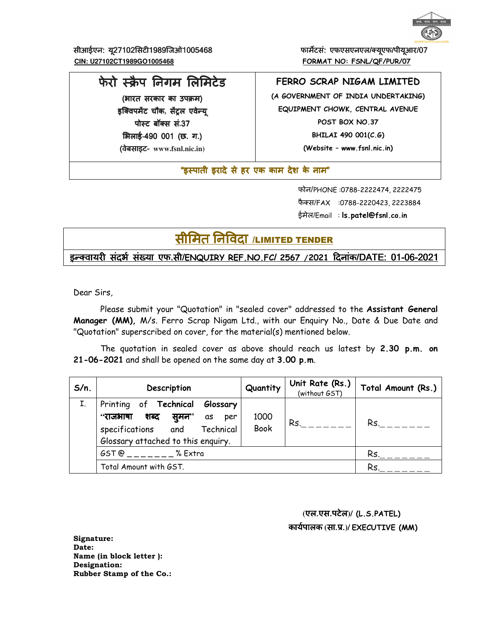

सीआईएन: यू27102सिटी1989जिओ1005468 **<b>काम्बर्क** कार्मेटसं: एफएसएनएल/क्यूएफ/पीयूआर/07  **CIN: U27102CT1989GO1005468 FORMAT NO: FSNL/QF/PUR/07**

फेरो स्क्रैप निगम लिमिटेड

(भारत सरकार का उपक्रम) इक्विप<mark>र्मेट चौक, सेंट्रल एवेन्य</mark>् पोस्ट बॉक्स सं.37 **भिलाई-490 001 (छ. ग.)** (वेबसाइट वेबसाइट- **www.fsnl.nic.in)** 

#### **FERRO SCRAP NIGAM LIMITED**

**(A GOVERNMENT OF INDIA UNDERTAKING) EQUIPMENT CHOWK, CENTRAL AVENUE POST BOX NO.37 BHILAI 490 001(C.G)** 

**(Website – www.fsnl.nic.in)** 

"इस्पाती इरादे से हर एक काम देश के नाम"

 फोन/PHONE :0788-2222474, 2222475 फैक्स/FAX :0788-2220423, 2223884 ईमेल/Email : **ls.patel@fsnl.co.in**

सीमित निविदा /LIMITED TENDER

इ8!वायर संदभE संFया एफ.सी/**ENQUIRY REF.NO.FC**/ **2567 /2021** Gदनांक/DATE: 01-06-2021

Dear Sirs,

Please submit your "Quotation" in "sealed cover" addressed to the **Assistant General Manager (MM),** M/s. Ferro Scrap Nigam Ltd., with our Enquiry No., Date & Due Date and "Quotation" superscribed on cover, for the material(s) mentioned below.

The quotation in sealed cover as above should reach us latest by **2.30 p.m. on 21-06-2021** and shall be opened on the same day at **3.00 p.m**.

| $S/n$ . | Description                                                                                                                                     | Quantity            | Unit Rate (Rs.)<br>(without GST) | Total Amount (Rs.) |
|---------|-------------------------------------------------------------------------------------------------------------------------------------------------|---------------------|----------------------------------|--------------------|
| I.      | Printing of Technical<br>Glossary<br>सुमन''<br>"राजभाषा शब्द<br>as<br>per<br>specifications and Technical<br>Glossary attached to this enquiry. | 1000<br><b>Book</b> | Rs.                              | Rs.                |
|         | GST @ % Extra                                                                                                                                   |                     |                                  | Rs.                |
|         | Total Amount with GST.                                                                                                                          |                     |                                  | Rs.                |
|         |                                                                                                                                                 |                     |                                  |                    |

 **(**एल.एस.पटेल**)/ (L.S.PATEL)** कायEपालक **(**सा.O.**)/ EXECUTIVE (MM)** 

**Signature: Date: Name (in block letter ): Designation: Rubber Stamp of the Co.:**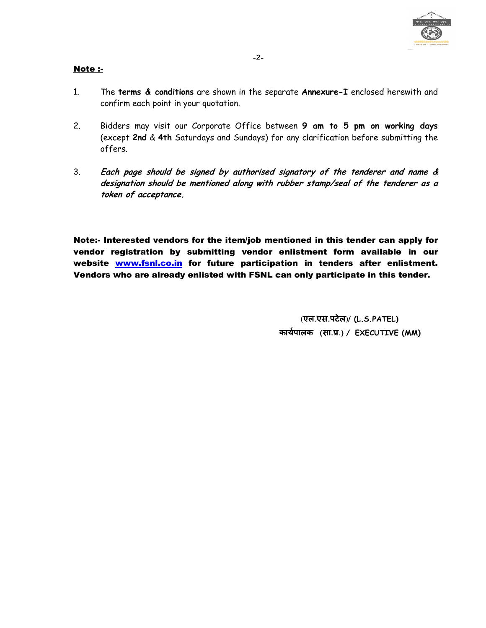

#### Note :-

- 1. The **terms & conditions** are shown in the separate **Annexure-I** enclosed herewith and confirm each point in your quotation.
- 2. Bidders may visit our Corporate Office between **9 am to 5 pm on working days** (except **2nd** & **4th** Saturdays and Sundays) for any clarification before submitting the offers.
- 3. **Each page should be signed by authorised signatory of the tenderer and name & designation should be mentioned along with rubber stamp/seal of the tenderer as a token of acceptance.**

Note:- Interested vendors for the item/job mentioned in this tender can apply for vendor registration by submitting vendor enlistment form available in our website www.fsnl.co.in for future participation in tenders after enlistment. Vendors who are already enlisted with FSNL can only participate in this tender.

> **(**एल.एस.पटेल**)/ (L.S.PATEL)** कायEपालक **(**सा.O.**)/ EXECUTIVE (MM)**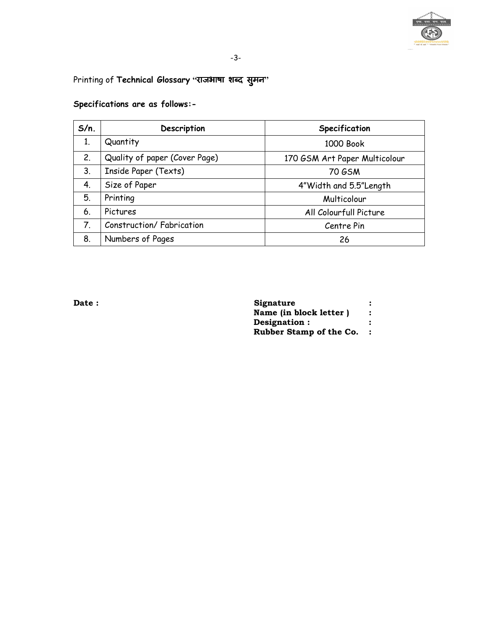

## Printing of Technical Glossary "राजभाषा शब्द सुमन"

| $S/n$ . | Description                   | Specification                 |
|---------|-------------------------------|-------------------------------|
| 1.      | Quantity                      | 1000 Book                     |
| 2.      | Quality of paper (Cover Page) | 170 GSM Art Paper Multicolour |
| 3.      | Inside Paper (Texts)          | 70 GSM                        |
| 4.      | Size of Paper                 | 4"Width and 5.5"Length        |
| 5.      | Printing                      | Multicolour                   |
| 6.      | Pictures                      | All Colourfull Picture        |
| 7.      | Construction/Fabrication      | Centre Pin                    |
| 8.      | Numbers of Pages              | 26                            |

#### **Specifications are as follows:-**

| Signature               |  |
|-------------------------|--|
| Name (in block letter)  |  |
| Designation :           |  |
| Rubber Stamp of the Co. |  |
|                         |  |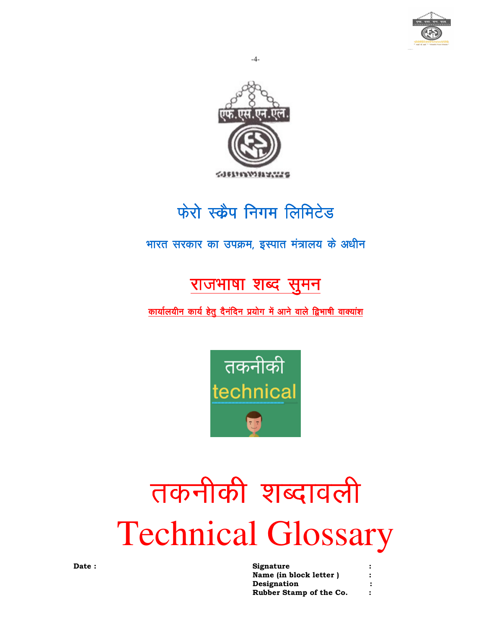



## फेरो स्क्रैप निगम लिमिटेड

## भारत सरकार का उपक्रम, इस्पात मंत्रालय के अधीन

## राजभाषा शब्द सुमन

### कार्यालयीन कार्य हेतु दैनंदिन प्रयोग में आने वाले द्विभाषी वाक्यांश



# तकनीकी शब्दावली **Technical Glossary**

| Signature               |  |
|-------------------------|--|
| Name (in block letter ) |  |
| Designation             |  |
| Rubber Stamp of the Co. |  |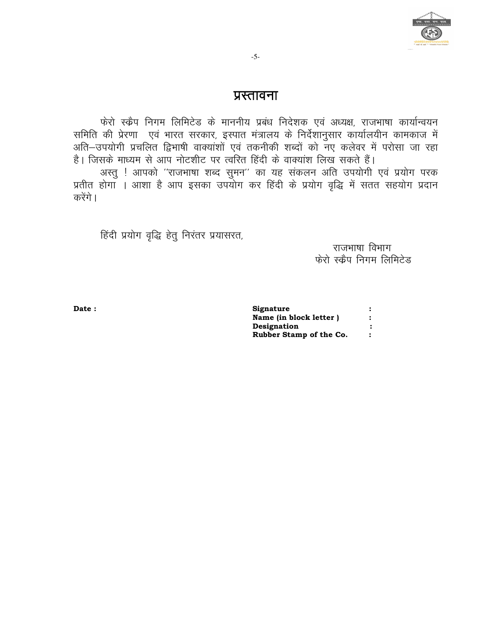

#### प्रस्तावना

फेरो स्क्वैप निगम लिमिटेड के माननीय प्रबंध निदेशक एवं अध्यक्ष, राजभाषा कार्यान्वयन समिति की प्रेरणा एवं भारत सरकार, इस्पात मंत्रालय के निर्देशानुसार कार्यालयीन कामकाज में अति–उपयोगी प्रचलित द्विभाषी वाक्यांशों एवं तकनीकी शब्दों को नए कलेवर में परोसा जा रहा है। जिसके माध्यम से आप नोटशीट पर त्वरित हिंदी के वाक्यांश लिख सकते हैं। अस्तु ! आपको ''राजभाषा शब्द सुमन'' का यह संकलन अति उपयोगी एवं प्रयोग परक

प्रतीत होगा । आशा है आप इसका उपयोग कर हिंदी के प्रयोग वृद्धि में सतत सहयोग प्रदान करेंगे ।

हिंदी प्रयोग वृद्धि हेतू निरंतर प्रयासरत,

राजभाषा विभाग फेरो स्कैप निगम लिमिटेड

Date:

Signature Name (in block letter)  $\colon$ Designation  $\cdot$ Rubber Stamp of the Co.  $\cdot$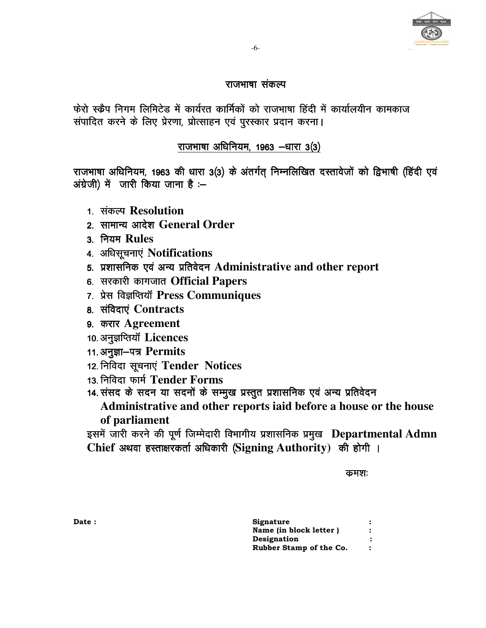#### राजभाषा संकल्प

फेरो स्क्रैप निगम लिमिटेड में कार्यरत कार्मिकों को राजभाषा हिंदी में कार्यालयीन कामकाज संपादित करने के लिए प्रेरणा, प्रोत्साहन एवं पुरस्कार प्रदान करना।

#### राजभाषा अधिनियम, 1963 -धारा 3(3)

राजभाषा अधिनियम, 1963 की धारा 3(3) के अंतर्गत् निम्नलिखित दस्तावेजों को द्विभाषी (हिंदी एवं अंग्रेजी) में जारी किया जाना है :-

- 1. संकल्प Resolution
- 2. सामान्य आदेश General Order
- 3. नियम Rules
- 4. अधिसूचनाएं Notifications
- 5. प्रशासनिक एवं अन्य प्रतिवेदन Administrative and other report
- 6. सरकारी कागजात Official Papers
- 7. प्रेस विज्ञप्तियॉ Press Communiques
- 8. संविदाएं Contracts
- 9. करार Agreement
- 10. अनुज्ञप्तियॉ Licences
- 11. अनुज्ञा-पत्र Permits
- 12. निविदा सूचनाएं Tender Notices
- 13. निविदा फार्म Tender Forms
- 14. संसद के सदन या सदनों के सम्मुख प्रस्तुत प्रशासनिक एवं अन्य प्रतिवेदन

Administrative and other reports iaid before a house or the house of parliament

इसमें जारी करने की पूर्ण जिम्मेदारी विभागीय प्रशासनिक प्रमुख Departmental Admn Chief अथवा हस्ताक्षरकर्ता अधिकारी (Signing Authority) की होगी ।

#### कमशः

| Signature               |  |
|-------------------------|--|
| Name (in block letter)  |  |
| Designation             |  |
| Rubber Stamp of the Co. |  |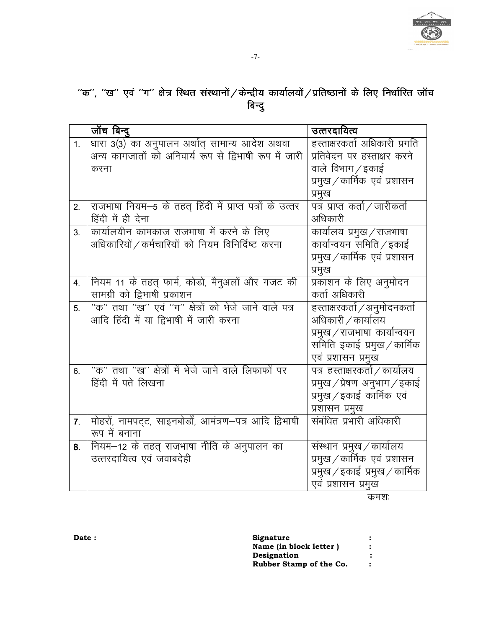

## ''क'', ''ख'' एवं ''ग'' क्षेत्र स्थित संस्थानों ∕ केन्द्रीय कार्यालयों ∕ प्रतिष्ठानों के लिए निर्धारित जॉच ''<br>बिन्दु

|                | जॉच बिन्दू                                               | उत्तरदायित्व                    |
|----------------|----------------------------------------------------------|---------------------------------|
| 1 <sub>1</sub> | धारा 3(3) का अनुपालन अर्थात् सामान्य आदेश अथवा           | हस्ताक्षरकर्ता अधिकारी प्रगति   |
|                | अन्य कागजातों को अनिवार्य रूप से द्विभाषी रूप में जारी   | प्रतिवेदन पर हस्ताक्षर करने     |
|                | करना                                                     | वाले विभाग / इकाई               |
|                |                                                          | प्रमुख / कार्मिक) एवं प्रशासन   |
|                |                                                          | प्रमुख                          |
| 2.             | राजभाषा नियम-5 के तहत् हिंदी में प्राप्त पत्रों के उत्तर | पत्र प्राप्त कर्ता / जारीकर्ता  |
|                | हिंदी में ही देना                                        | अधिकारी                         |
| $3_{-}$        | कार्यालयीन कामकाज राजभाषा में करने के लिए                | कार्यालय प्रमुख / राजभाषा       |
|                | अधिकारियों / कर्मचारियों को नियम विनिर्दिष्ट करना        | कार्यान्वयन समिति / इकाई        |
|                |                                                          | प्रमुख / कार्मिक) एवं प्रशासन   |
|                |                                                          | प्रमुख                          |
| 4.             | नियम 11 के तहत् फार्म, कोडो, मैनुअलों और गजट की          | प्रकाशन के लिए अनुमोदन          |
|                | सामग्री को द्विभाषी प्रकाशन                              | कर्ता अधिकारी                   |
| 5.             | "क" तथा "ख" एवं "ग" क्षेत्रों को भेजे जाने वाले पत्र     | हस्ताक्षरकर्ता / अनुमोदनकर्ता   |
|                | आदि हिंदी में या द्विभाषी में जारी करना                  | अधिकारी / कार्यालय              |
|                |                                                          | प्रमुख ⁄ राजभाषा  कार्यान्वयन   |
|                |                                                          | समिति इकाई प्रमुख / कार्मिक     |
|                |                                                          | एवं प्रशासन प्रमुख              |
| 6.             | "क" तथा "ख" क्षेत्रों में भेजे जाने वाले लिफाफों पर      | पत्र हस्ताक्षरकर्ता / कार्यालय  |
|                | हिंदी में पते लिखना                                      | प्रमुख / प्रेषण अनुभाग / इकाई   |
|                |                                                          | प्रमुख / इकाई कार्मिक एवं       |
|                |                                                          | प्रशासन प्रमुख                  |
| 7.             | मोहरों, नामपट्ट, साइनबोर्डों, आमंत्रण-पत्र आदि द्विभाषी  | संबंधित प्रभारी अधिकारी         |
|                | रूप में बनाना                                            |                                 |
| 8.             | नियम–12 के तहत् राजभाषा नीति के अनुपालन का               | संस्थान प्रमुख / कार्यालय       |
|                | उत्तरदायित्व एवं जवाबदेही                                | प्रमुख / कार्मिक) एवं प्रशासन   |
|                |                                                          | प्रमुख / इकाई  प्रमुख / कार्मिक |
|                |                                                          | एवं प्रशासन प्रमुख              |

कमशः

| <b>Signature</b>        |  |
|-------------------------|--|
| Name (in block letter)  |  |
| Designation             |  |
| Rubber Stamp of the Co. |  |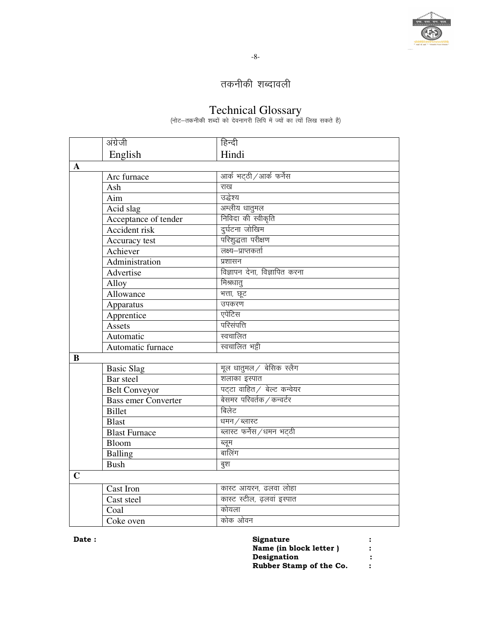

## तकनीकी शब्दावली

 $\frac{1}{2}$   $\frac{1}{2}$   $\frac{1}{2}$   $\frac{1}{2}$   $\frac{1}{2}$   $\frac{1}{2}$   $\frac{1}{2}$   $\frac{1}{2}$   $\frac{1}{2}$   $\frac{1}{2}$   $\frac{1}{2}$   $\frac{1}{2}$   $\frac{1}{2}$   $\frac{1}{2}$   $\frac{1}{2}$   $\frac{1}{2}$   $\frac{1}{2}$   $\frac{1}{2}$   $\frac{1}{2}$   $\frac{1}{2}$   $\frac{1}{2}$   $\frac{1}{2}$ 

|             | अंग्रेजी                   | हिन्दी                        |
|-------------|----------------------------|-------------------------------|
|             | English                    | Hindi                         |
| $\mathbf A$ |                            |                               |
|             | Arc furnace                | आर्क भट्ठी / आर्क फर्नेस      |
|             | Ash                        | राख                           |
|             | Aim                        | उद्धेश्य                      |
|             | Acid slag                  | अम्लीय धातुमल                 |
|             | Acceptance of tender       | निविदा की स्वीकृति            |
|             | <b>Accident risk</b>       | दुर्घटना जोखिम                |
|             | Accuracy test              | परिशुद्धता परीक्षण            |
|             | Achiever                   | लक्ष्य–प्राप्तकर्ता           |
|             | Administration             | प्रशासन                       |
|             | Advertise                  | विज्ञापन देना, विज्ञापित करना |
|             | Alloy                      | मिश्रधात्                     |
|             | Allowance                  | भत्ता, छूट                    |
|             | Apparatus                  | उपकरण                         |
|             | Apprentice                 | एपेंटिस                       |
|             | Assets                     | परिसंपत्ति                    |
|             | Automatic                  | स्वचालित                      |
|             | Automatic furnace          | स्वचालित भट्टी                |
| B           |                            |                               |
|             | <b>Basic Slag</b>          | मूल धातुमल / बेसिक स्लैग      |
|             | Bar steel                  | शलाका इस्पात                  |
|             | <b>Belt Conveyor</b>       | पट्टा वाहित / बेल्ट कन्वेयर   |
|             | <b>Bass emer Converter</b> | बेसमर परिवर्तक / कन्वर्टर     |
|             | <b>Billet</b>              | बिलेट                         |
|             | <b>Blast</b>               | धमन / ब्लास्ट                 |
|             | <b>Blast Furnace</b>       | ब्लास्ट फर्नेस /धमन भट्ठी     |
|             | Bloom                      | ब्लूम<br>बालिंग               |
|             | Balling                    |                               |
|             | <b>Bush</b>                | बुश                           |
| $\mathbf C$ |                            |                               |
|             | <b>Cast Iron</b>           | कास्ट आयरन, ढलवा लोहा         |
|             | Cast steel                 | कास्ट स्टील, ढ़लवां इस्पात    |
|             | Coal                       | कोयला                         |
|             | Coke oven                  | कोक ओवन                       |

| <b>Signature</b>        |  |
|-------------------------|--|
| Name (in block letter)  |  |
| Designation             |  |
| Rubber Stamp of the Co. |  |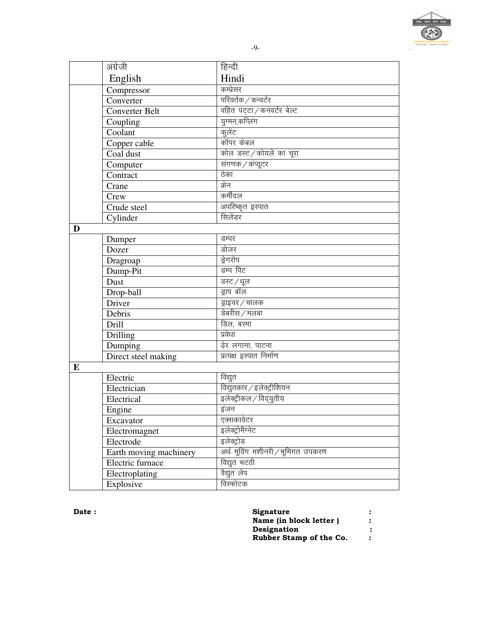|   | अंग्रेजी               | हिन्दी                            |
|---|------------------------|-----------------------------------|
|   | English                | Hindi                             |
|   | Compressor             | कम्प्रेसर                         |
|   | Converter              | परिवर्तक / कन्वर्टर               |
|   | <b>Converter Belt</b>  | वहित पट्टा / कनवर्टर बेल्ट        |
|   | Coupling               | युग्मन,कप्लिंग                    |
|   | Coolant                | कुलेंट                            |
|   | Copper cable           | कॉपर केबल                         |
|   | Coal dust              | कोल डस्ट / कोयले का चूरा          |
|   | Computer               | संगणक / कंप्यूटर                  |
|   | Contract               | ठेका                              |
|   | Crane                  | क्रेन                             |
|   | Crew                   | कर्मीदल                           |
|   | Crude steel            | अपरिष्कृत इस्पात                  |
|   | Cylinder               | सिलेंडर                           |
| D |                        |                                   |
|   | Dumper                 | डम्पर                             |
|   | Dozer                  | डोजर                              |
|   | Dragroap               | ड्रेगरोप                          |
|   | Dump-Pit               | डम्प पिट                          |
|   | Dust                   | डस्ट /धूल                         |
|   | Drop-ball              | ड्राप बॉल                         |
|   | Driver                 | ड्राइवर / चालक                    |
|   | Debris                 | डेबरीस / मलबा                     |
|   | <b>Drill</b>           | डिल, बरमा                         |
|   | Drilling               | प्रवेधा                           |
|   | Dumping                | ढ़ेर लगाना, पाटना                 |
|   | Direct steel making    | प्रत्यक्ष इस्पात निर्माण          |
| E |                        |                                   |
|   | Electric               | विद्युत                           |
|   | Electrician            | विद्युतकार / इलेक्ट्रीशियन        |
|   | Electrical             | इलेक्ट्रीकल / विद्युतीय           |
|   | Engine                 | इंजन                              |
|   | Excavator              | एक्सकावेटर                        |
|   | Electromagnet          | इलेक्ट्रोमैग्नेट                  |
|   | Electrode              | इलेक्ट्रोड                        |
|   | Earth moving machinery | अर्थ मूविंग मशीनरी / भूमिगत उपकरण |
|   | Electric furnace       | विद्युत भटठी                      |
|   | Electroplating         | वैद्युत लेप                       |
|   | Explosive              | विस्फोटक                          |

| <b>Signature</b>        | : |
|-------------------------|---|
| Name (in block letter)  |   |
| Designation             | : |
| Rubber Stamp of the Co. |   |

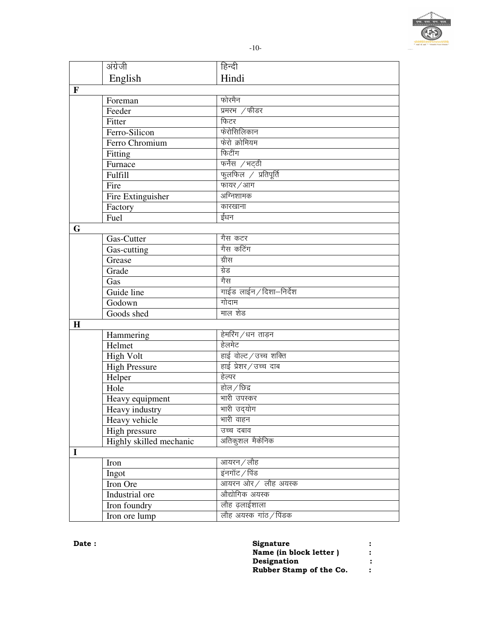

|              | अंग्रेजी                | हिन्दी                 |
|--------------|-------------------------|------------------------|
|              | English                 | Hindi                  |
| $\mathbf{F}$ |                         |                        |
|              | Foreman                 | फोरमैन                 |
|              | Feeder                  | प्रमरभ $\sqrt{ }$ फीडर |
|              | Fitter                  | फिटर                   |
|              | Ferro-Silicon           | फेरोसिलिकान            |
|              | Ferro Chromium          | फेरो क्रोमियम          |
|              | Fitting                 | फिटींग                 |
|              | Furnace                 | फर्नेस /भट्ठी          |
|              | Fulfill                 | फुलफिल / प्रतिपूर्ति   |
|              | Fire                    | फायर / आग              |
|              | Fire Extinguisher       | अग्निशामक              |
|              | Factory                 | कारखाना                |
|              | Fuel                    | ईंधन                   |
| G            |                         |                        |
|              | Gas-Cutter              | गैस कटर                |
|              | Gas-cutting             | गैस कटिंग              |
|              | Grease                  | ग्रीस                  |
|              | Grade                   | ग्रेड                  |
|              | Gas                     | गैस                    |
|              | Guide line              | गाईड लाईन/दिशा-निर्देश |
|              | Godown                  | गोदाम                  |
|              | Goods shed              | माल शेड                |
| H            |                         |                        |
|              | Hammering               | हेमरिंग/धन ताड़न       |
|              | Helmet                  | हेलमेट                 |
|              | <b>High Volt</b>        | हाई वोल्ट / उच्च शक्ति |
|              | <b>High Pressure</b>    | हाई प्रेशर/उच्च दाब    |
|              | Helper                  | हेल्पर                 |
|              | Hole                    | होल $/$ छिद्र          |
|              | Heavy equipment         | मारी उपस्कर            |
|              | Heavy industry          | भारी उदयोग             |
|              | Heavy vehicle           | भारी वाहन              |
|              | High pressure           | उच्च दबाव              |
|              | Highly skilled mechanic | अतिकुशल मैकेनिक        |
| $\mathbf I$  |                         |                        |
|              | Iron                    | आयरन / लौह             |
|              | Ingot                   | इंनगॉट / पिंड          |
|              | Iron Ore                | आयरन ओर / लौह अयस्क    |
|              | Industrial ore          | औद्योगिक अयस्क         |
|              | Iron foundry            | लौह ढ़लाईशाला          |
|              | Iron ore lump           | लौह अयस्क गांठ / पिंडक |

| Signature               | : |
|-------------------------|---|
| Name (in block letter)  | : |
| Designation             |   |
| Rubber Stamp of the Co. | ∶ |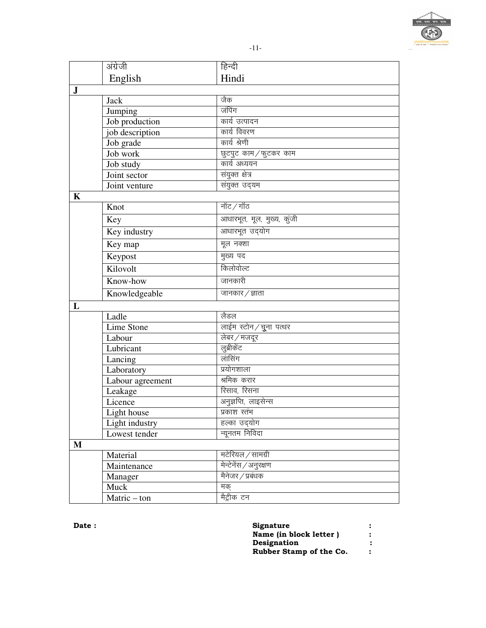

|              | अंग्रेजी         | हिन्दी                     |
|--------------|------------------|----------------------------|
|              | English          | Hindi                      |
| $\bf J$      |                  |                            |
|              | Jack             | जैक                        |
|              | Jumping          | जंपिंग                     |
|              | Job production   | कार्य उत्पादन              |
|              | job description  | कार्य विवरण                |
|              | Job grade        | कार्य श्रेणी               |
|              | Job work         | छुटपुट काम/फुटकर काम       |
|              | Job study        | कार्य अध्ययन               |
|              | Joint sector     | संयुक्त क्षेत्र            |
|              | Joint venture    | संयुक्त उद्यम              |
| K            |                  |                            |
|              | Knot             | नॉट $/$ गॉठ                |
|              | Key              | आधारभूत, मूल, मुख्य, कुंजी |
|              | Key industry     | आधारभूत उद्योग             |
|              | Key map          | मूल नक्शा                  |
|              | Keypost          | मुख्य पद                   |
|              | Kilovolt         | किलोवोल्ट                  |
|              | Know-how         | जानकारी                    |
|              | Knowledgeable    | जानकार / ज्ञाता            |
| L            |                  |                            |
|              | Ladle            | लैडल                       |
|              | Lime Stone       | लाईम स्टोन/चूना पत्थर      |
|              | Labour           | लेबर/मजदूर                 |
|              | Lubricant        | लुब्रीकेंट                 |
|              | Lancing          | लांसिंग                    |
|              | Laboratory       | प्रयोगशाला                 |
|              | Labour agreement | श्रमिक करार                |
|              | Leakage          | रिसाव, रिसना               |
|              | Licence          | अनुज्ञप्ति, लाइसेन्स       |
|              | Light house      | प्रकाश स्तंभ               |
|              | Light industry   | हल्का उदयोग                |
|              | Lowest tender    | न्यूनतम निविदा             |
| $\mathbf{M}$ |                  |                            |
|              | Material         | मटेरियल / सामग्री          |
|              | Maintenance      | मेन्टेनेंस / अनुरक्षण      |
|              | Manager          | मैनेजर / प्रबंधक           |
|              | Muck             | मक्                        |
|              | Matric-ton       | मेंट्रीक टन                |

| <b>Date :</b> | Signature               |  |
|---------------|-------------------------|--|
|               | Name (in block letter)  |  |
|               | <b>Designation</b>      |  |
|               | Rubber Stamp of the Co. |  |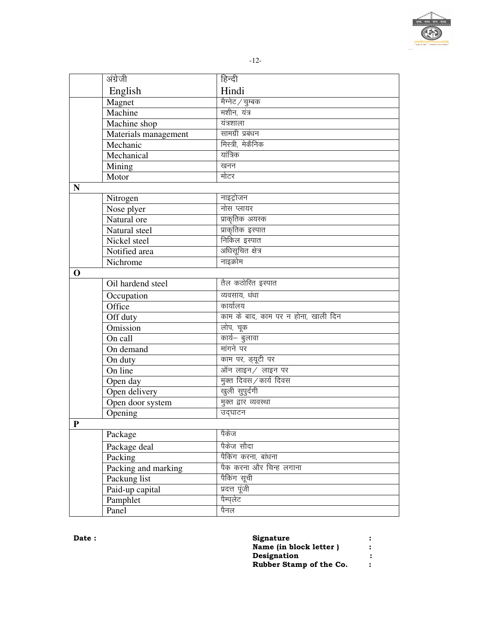|             |                      | $-12-$                              |
|-------------|----------------------|-------------------------------------|
|             | अंग्रेजी             | हिन्दी                              |
|             | English              | Hindi                               |
|             | Magnet               | मैग्नेट / चुम्बक                    |
|             | Machine              | मशीन, यंत्र                         |
|             | Machine shop         | यंत्रशाला                           |
|             | Materials management | सामग्री प्रबंधन                     |
|             | Mechanic             | मिस्त्री, मेकैनिक                   |
|             | Mechanical           | यांत्रिक                            |
|             | Mining               | खनन                                 |
|             | Motor                | मोटर                                |
| N           |                      |                                     |
|             | Nitrogen             | नाइट्रोजन                           |
|             | Nose plyer           | नोस प्लायर                          |
|             | Natural ore          | प्राकृतिक अयस्क                     |
|             | Natural steel        | प्राकृतिक इस्पात                    |
|             | Nickel steel         | निकिल इस्पात                        |
|             | Notified area        | अधिसूचित क्षेत्र                    |
|             | Nichrome             | नाइक्रोम                            |
| $\mathbf 0$ |                      |                                     |
|             | Oil hardend steel    | तैल कठोरित इस्पात                   |
|             | Occupation           | व्यवसाय, धंधा                       |
|             | Office               | कार्यालय                            |
|             | Off duty             | काम के बाद, काम पर न होना, खाली दिन |
|             | <b>Omission</b>      | लोप, चूक                            |
|             | On call              | कार्य– बुलावा                       |
|             | On demand            | मांगने पर                           |
|             | On duty              | काम पर, ड्यूटी पर                   |
|             | On line              | ऑन लाइन/ लाइन पर                    |
|             | Open day             | मुक्त दिवस / कार्य दिवस             |
|             | Open delivery        | खुली सुपुर्दगी                      |
|             | Open door system     | मुक्त द्वार व्यवस्था                |
|             | Opening              | उद्घाटन                             |
| ${\bf P}$   |                      |                                     |
|             | Package              | पैकेज                               |
|             | Package deal         | पैकेज सौदा                          |
|             | Packing              | पैकिंग करना, बांधना                 |
|             | Packing and marking  | पैक करना और चिन्ह लगाना             |
|             | Packung list         | पैकिंग सूची                         |
|             | Paid-up capital      | प्रदत्त पूंजी                       |
|             | Pamphlet             | पैम्पलेट                            |
|             | Panel                | पैनल                                |

| <b>Signature</b>        |  |
|-------------------------|--|
| Name (in block letter)  |  |
| Designation             |  |
| Rubber Stamp of the Co. |  |

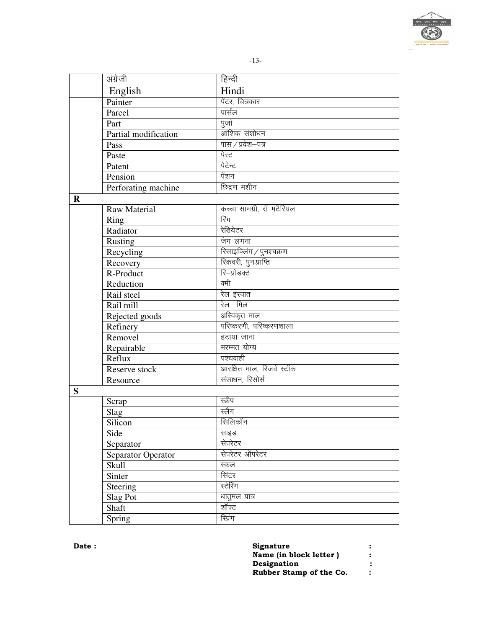

|         | अंग्रेजी             | हिन्दी                    |
|---------|----------------------|---------------------------|
|         | English              | Hindi                     |
|         | Painter              | पेंटर, चित्रकार           |
|         | Parcel               | पार्सल                    |
|         | Part                 | पुर्जा                    |
|         | Partial modification | आंशिक संशोधन              |
|         | Pass                 | पास / प्रवेश—पत्र         |
|         | Paste                | पेस्ट                     |
|         | Patent               | पेटेन्ट                   |
|         | Pension              | पेंशन                     |
|         | Perforating machine  | छिद्रण मशीन               |
| $\bf R$ |                      |                           |
|         | <b>Raw Material</b>  | कच्चा सामग्री, रॉ मटैरियल |
|         | Ring                 | रिंग                      |
|         | Radiator             | रेडियेटर                  |
|         | Rusting              | जंग लगना                  |
|         | Recycling            | रिसाइक्लिंग / पुनश्चक्रण  |
|         | Recovery             | रिकवरी, पुनःप्राप्ति      |
|         | R-Product            | रि-प्रोडक्ट               |
|         | Reduction            | क्मी                      |
|         | Rail steel           | रेल इस्पात                |
|         | Rail mill            | रेल मिल                   |
|         | Rejected goods       | अस्विकृत माल              |
|         | Refinery             | परिष्करणी, परिष्करणशाला   |
|         | Removel              | हटाया जाना                |
|         | Repairable           | मरम्मत योग्य              |
|         | Reflux               | पश्चवाही                  |
|         | Reserve stock        | आरक्षित माल, रिजर्व स्टॉक |
|         | Resource             | संसाधन, रिसोर्स           |
| S       |                      |                           |
|         | Scrap                | स्क्रैप                   |
|         | Slag                 | स्लैग                     |
|         | Silicon              | सिलिकॉन                   |
|         | Side                 | साइड                      |
|         | Separator            | सेपरेटर                   |
|         | Separator Operator   | सेपरेटर ऑपरेटर            |
|         | <b>Skull</b>         | स्कल                      |
|         | Sinter               | सिंटर                     |
|         | Steering             | स्टेरिंग                  |
|         | Slag Pot             | धातुमल पात्र              |
|         | Shaft                | शॉफ्ट                     |
|         | Spring               | रिप्रंग                   |

| <b>Signature</b>        |   |
|-------------------------|---|
| Name (in block letter)  |   |
| Designation             | : |
| Rubber Stamp of the Co. |   |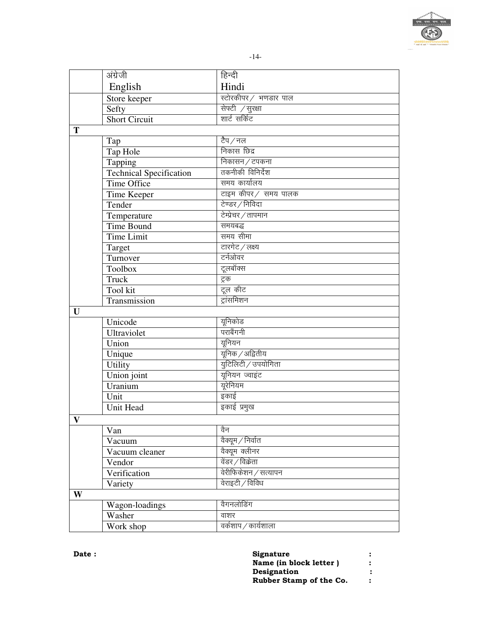

|              | अंग्रेजी                       | हिन्दी                |
|--------------|--------------------------------|-----------------------|
|              | English                        | Hindi                 |
|              | Store keeper                   | स्टोरकीपर / भणडार पाल |
|              | Sefty                          | सेफ्टी / सुरक्षा      |
|              | <b>Short Circuit</b>           | शार्ट सर्किट          |
| T            |                                |                       |
|              | Tap                            | टैप ⁄ नल              |
|              | Tap Hole                       | निकास छिद्र           |
|              | Tapping                        | निकासन / टपकना        |
|              | <b>Technical Specification</b> | तकनीकी विनिर्देश      |
|              | <b>Time Office</b>             | समय कार्यालय          |
|              | Time Keeper                    | टाइम कीपर/ समय पालक   |
|              | Tender                         | टेण्डर / निविदा       |
|              | Temperature                    | टेम्प्रेचर / तापमान   |
|              | <b>Time Bound</b>              | समयबद्ध               |
|              | <b>Time Limit</b>              | समय सीमा              |
|              | Target                         | टारगेट ∕लक्ष्य        |
|              | Turnover                       | टर्नओवर               |
|              | Toolbox                        | टूलबॉक्स              |
|              | Truck                          | ट्रक                  |
|              | Tool kit                       | टूल कीट               |
|              | Transmission                   | ट्रांसमिशन            |
| U            |                                |                       |
|              | Unicode                        | यूनिकोड               |
|              | Ultraviolet                    | पराबैंगनी             |
|              | Union                          | यूनियन                |
|              | Unique                         | यूनिक / अद्वितीय      |
|              | <b>Utility</b>                 | युटिलिटी / उपयोगिता   |
|              | Union joint                    | यूनियन ज्वाइंट        |
|              | Uranium                        | यूरेनियम              |
|              | Unit                           | इकाई                  |
|              | <b>Unit Head</b>               | इकाई प्रमुख           |
|              |                                |                       |
| $\mathbf{V}$ |                                |                       |
|              | Van                            | वैन                   |
|              | Vacuum                         | वैक्यूम / निर्वात     |
|              | Vacuum cleaner                 | वैक्यूम क्लीनर        |
|              | Vendor                         | वेंडर / विक्रेता      |
|              | Verification                   | वेरीफिकेशन / सत्यापन  |
|              | Variety                        | वेराइटी / विविध       |
| W            |                                |                       |
|              | Wagon-loadings                 | वैगनलोडिंग            |
|              | Washer                         | वाशर                  |
|              | Work shop                      | वर्कशाप / कार्यशाला   |

| <b>Signature</b>        |   |
|-------------------------|---|
| Name (in block letter)  | : |
| Designation             | : |
| Rubber Stamp of the Co. | ∶ |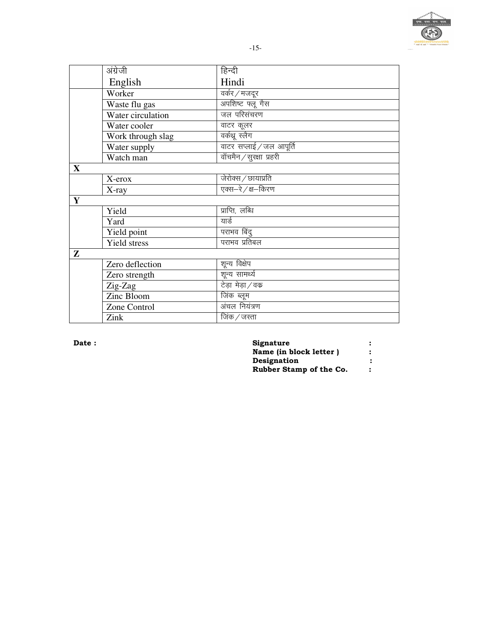

| अंग्रेजी            | हिन्दी                   |  |
|---------------------|--------------------------|--|
| English             | Hindi                    |  |
| Worker              | वर्कर / मजदूर            |  |
| Waste flu gas       | अपशिष्ट फ्लू गैस         |  |
| Water circulation   | जल परिसंचरण              |  |
| Water cooler        | वाटर कूलर                |  |
| Work through slag   | वर्कथू स्लैग             |  |
| Water supply        | वाटर सप्लाई / जल आपूर्ति |  |
| Watch man           | वॉचमैन / सुरक्षा प्रहरी  |  |
|                     |                          |  |
| X-erox              | जेरोक्स / छायाप्रति      |  |
| X-ray               | एक्स-रे / क्ष-किरण       |  |
|                     |                          |  |
| Yield               | प्राप्ति, लब्धि          |  |
| Yard                | यार्ड                    |  |
| Yield point         | पराभव बिंदु              |  |
| <b>Yield stress</b> | पराभव प्रतिबल            |  |
|                     |                          |  |
| Zero deflection     | शून्य विक्षेप            |  |
| Zero strength       | शून्य सामर्थ्य           |  |
| Zig-Zag             | टेड़ा मेड़ा/वक           |  |
| Zinc Bloom          | <u>जिंक</u> ब्लूम        |  |
|                     |                          |  |

अंचल नियंत्रण जिंक $/$ जस्ता

Date:

Zone Control

Zink

 $\overline{\mathbf{X}}$ 

 $\overline{\mathbf{Y}}$ 

 $\overline{z}$ 

| Signature               |   |
|-------------------------|---|
| Name (in block letter ) | ∶ |
| Designation             | : |
| Rubber Stamp of the Co. | ∶ |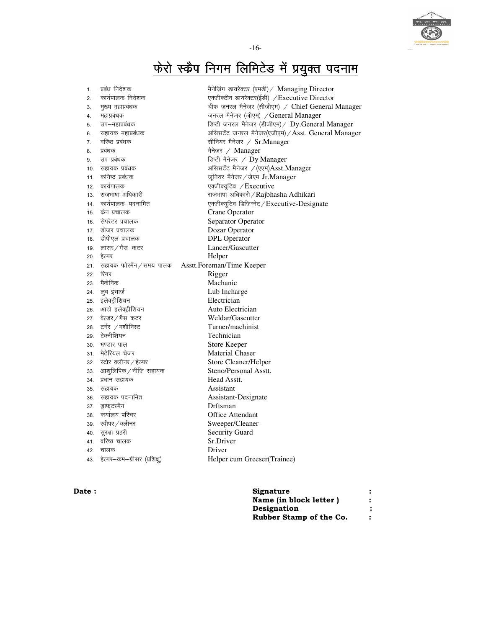

-16-

## <u>फेरो स्क्रैप निगम लिमिटेड में प्रयुक्त पदनाम</u>

| 1.  | प्रबंध निदेशक            | मैनेजिंग डायरेक्टर (एमडी) / Managing Director       |
|-----|--------------------------|-----------------------------------------------------|
| 2.  | कार्यपालक निदेशक         | एक्जीक्टीव डायरेक्टर(ईडी) / Executive Director      |
| 3.  | मुख्य महाप्रबंधक         | चीफ जनरल मैनेजर (सीजीएम) / Chief General Manager    |
| 4.  | महाप्रबंधक               | जनरल मैनेजर (जीएम) / General Manager                |
| 5.  | उप–महाप्रबंधक            | डिप्टी जनरल मैनेजर (डीजीएम) / Dy.General Manager    |
| 6.  | सहायक महाप्रबंधक         | असिसटेंट जनरल मैनेजर(एजीएम) / Asst. General Manager |
| 7.  | वरिष्ठ प्रबंधक           | सीनियर मैनेजर / Sr.Manager                          |
| 8.  | प्रबंधक                  | मैनेजर / Manager                                    |
| 9.  | उप प्रबंधक               | डिप्टी मैनेजर / Dy Manager                          |
| 10. | सहायक प्रबंधक            | असिसटेंट मैनेजर /(एएम)Asst.Manager                  |
| 11. | कनिष्ठ प्रबंधक           | जूनियर मैनेजर / जेएम Jr. Manager                    |
| 12. | कार्यपालक                | एक्जीक्यूटिव / Executive                            |
| 13. | राजभाषा अधिकारी          | राजभाषा अधिकारी / Rajbhasha Adhikari                |
| 14. | कार्यपालक—पदनामित        | एक्जीक्यूटिव डिजिग्नेट / Executive-Designate        |
| 15. | केन प्रचालक              | Crane Operator                                      |
| 16. | सेपरेटर प्रचालक          | Separator Operator                                  |
| 17. | डोजर प्रचालक             | Dozar Operator                                      |
| 18. | डीपीएल प्रचालक           | <b>DPL</b> Operator                                 |
| 19. | लांसर / गैस–कटर          | Lancer/Gascutter                                    |
| 20. | हेल्पर                   | Helper                                              |
| 21. | सहायक फोरमैंन ⁄ समय पालक | Asstt.Foreman/Time Keeper                           |
| 22. | रिगर                     | Rigger                                              |
| 23. | मैकेनिक                  | Machanic                                            |
| 24. | लुब इंचार्ज              | Lub Incharge                                        |
| 25. | इलेक्ट्रीशियन            | Electrician                                         |
| 26. | आटो इलेक्ट्रीशियन        | Auto Electrician                                    |
| 27. | वेल्डर ∕ गैस कटर         | Weldar/Gascutter                                    |
| 28. | टर्नर /मशीनिस्ट          | Turner/machinist                                    |
| 29. | टेक्नीशियन               | Technician                                          |
| 30. | भण्डार पाल               | Store Keeper                                        |
| 31. | मेटेरियल चेजर            | Material Chaser                                     |
| 32. | स्टोर क्लीनर / हेल्पर    | Store Cleaner/Helper                                |
| 33. | आशुलिपिक / नीजि सहायक    | Steno/Personal Asstt.                               |
| 34. | प्रधान सहायक             | Head Asstt.                                         |
| 35. | सहायक                    | Assistant                                           |
| 36. | सहायक पदनामित            | Assistant-Designate                                 |
| 37. | ड्राफ्टस्मैन             | Drftsman                                            |
| 38. | कर्यालय परिचर            | <b>Office Attendant</b>                             |
| 39. | स्वीपर / क्लीनर          | Sweeper/Cleaner                                     |
| 40. | सुरक्षा प्रहरी           | <b>Security Guard</b>                               |
| 41. | वरिष्ठ चालक              | Sr.Driver                                           |
| 42. | चालक                     | Driver                                              |
|     |                          |                                                     |

| <b>Date :</b> | Signature               |  |
|---------------|-------------------------|--|
|               | Name (in block letter)  |  |
|               | Designation             |  |
|               | Rubber Stamp of the Co. |  |
|               |                         |  |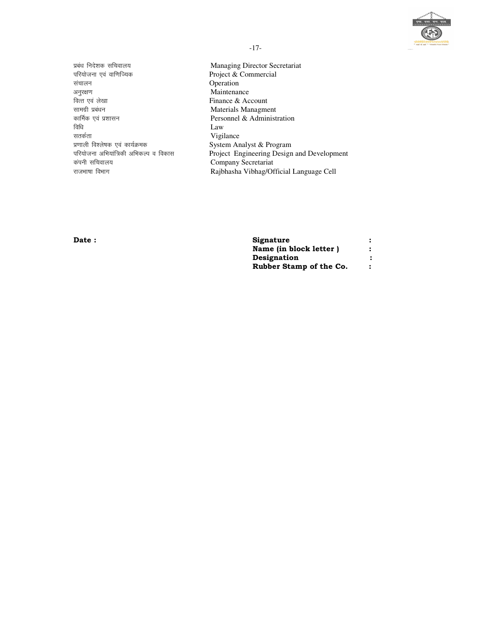

प्रबंध निदेशक सचिवालय परियोजना एवं वाणिज्यिक संचालन अनुरक्षण वित्त एवं लेखा सामग्री प्रबंधन कार्मिक एवं प्रशासन विधि सतर्कता प्रणाली विश्लेषक एवं कार्यक्रमक परियोजना अभियांत्रिकी अभिकल्प व विकास कंपनी सचिवालय राजभाषा विभाग

Managing Director Secretariat Project & Commercial Operation Maintenance Finance & Account Materials Managment Personnel & Administration  $\rm Law$ Vigilance System Analyst & Program Project Engineering Design and Development Company Secretariat Rajbhasha Vibhag/Official Language Cell

Date:

| Signature               |  |
|-------------------------|--|
| Name (in block letter)  |  |
| Designation             |  |
| Rubber Stamp of the Co. |  |

 $-17-$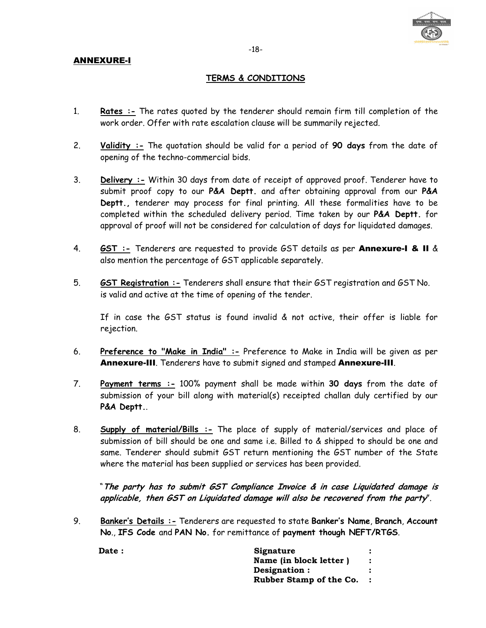

#### ANNEXURE-I

#### **TERMS & CONDITIONS**

- 1. **Rates :-** The rates quoted by the tenderer should remain firm till completion of the work order. Offer with rate escalation clause will be summarily rejected.
- 2. **Validity :-** The quotation should be valid for a period of **90 days** from the date of opening of the techno-commercial bids.
- 3. **Delivery :-** Within 30 days from date of receipt of approved proof. Tenderer have to submit proof copy to our **P&A Deptt.** and after obtaining approval from our **P&A Deptt.,** tenderer may process for final printing. All these formalities have to be completed within the scheduled delivery period. Time taken by our **P&A Deptt.** for approval of proof will not be considered for calculation of days for liquidated damages.
- 4. **GST :-** Tenderers are requested to provide GST details as per Annexure-I & II & also mention the percentage of GST applicable separately.
- 5. **GST Registration :-** Tenderers shall ensure that their GST registration and GST No. is valid and active at the time of opening of the tender.

If in case the GST status is found invalid & not active, their offer is liable for rejection.

- 6. **Preference to "Make in India" :-** Preference to Make in India will be given as per Annexure-III. Tenderers have to submit signed and stamped Annexure-III.
- 7. **Payment terms :-** 100% payment shall be made within **30 days** from the date of submission of your bill along with material(s) receipted challan duly certified by our **P&A Deptt.**.
- 8. **Supply of material/Bills :-** The place of supply of material/services and place of submission of bill should be one and same i.e. Billed to & shipped to should be one and same. Tenderer should submit GST return mentioning the GST number of the State where the material has been supplied or services has been provided.

"**The party has to submit GST Compliance Invoice & in case Liquidated damage is applicable, then GST on Liquidated damage will also be recovered from the party**".

9. **Banker's Details :-** Tenderers are requested to state **Banker's Name**, **Branch**, **Account No**., **IFS Code** and **PAN No.** for remittance of **payment though NEFT/RTGS**.

| Date: | Signature               |  |
|-------|-------------------------|--|
|       | Name (in block letter)  |  |
|       | Designation :           |  |
|       | Rubber Stamp of the Co. |  |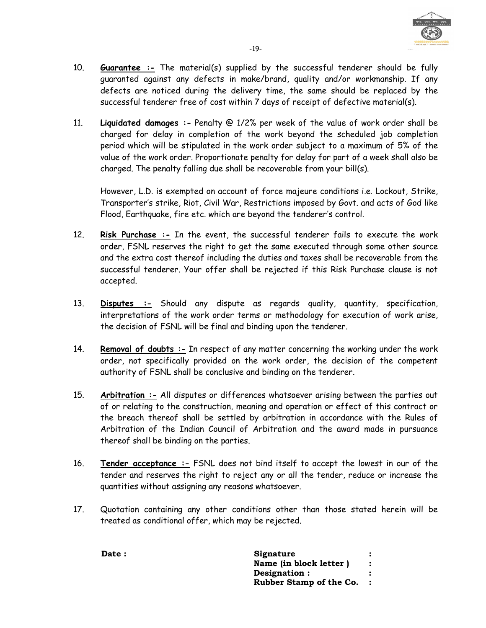

- 10. **Guarantee :-** The material(s) supplied by the successful tenderer should be fully guaranted against any defects in make/brand, quality and/or workmanship. If any defects are noticed during the delivery time, the same should be replaced by the successful tenderer free of cost within 7 days of receipt of defective material(s).
- 11. **Liquidated damages :-** Penalty @ 1/2% per week of the value of work order shall be charged for delay in completion of the work beyond the scheduled job completion period which will be stipulated in the work order subject to a maximum of 5% of the value of the work order. Proportionate penalty for delay for part of a week shall also be charged. The penalty falling due shall be recoverable from your bill(s).

However, L.D. is exempted on account of force majeure conditions i.e. Lockout, Strike, Transporter's strike, Riot, Civil War, Restrictions imposed by Govt. and acts of God like Flood, Earthquake, fire etc. which are beyond the tenderer's control.

- 12. **Risk Purchase :-** In the event, the successful tenderer fails to execute the work order, FSNL reserves the right to get the same executed through some other source and the extra cost thereof including the duties and taxes shall be recoverable from the successful tenderer. Your offer shall be rejected if this Risk Purchase clause is not accepted.
- 13. **Disputes :-** Should any dispute as regards quality, quantity, specification, interpretations of the work order terms or methodology for execution of work arise, the decision of FSNL will be final and binding upon the tenderer.
- 14. **Removal of doubts :-** In respect of any matter concerning the working under the work order, not specifically provided on the work order, the decision of the competent authority of FSNL shall be conclusive and binding on the tenderer.
- 15. **Arbitration :-** All disputes or differences whatsoever arising between the parties out of or relating to the construction, meaning and operation or effect of this contract or the breach thereof shall be settled by arbitration in accordance with the Rules of Arbitration of the Indian Council of Arbitration and the award made in pursuance thereof shall be binding on the parties.
- 16. **Tender acceptance :-** FSNL does not bind itself to accept the lowest in our of the tender and reserves the right to reject any or all the tender, reduce or increase the quantities without assigning any reasons whatsoever.
- 17. Quotation containing any other conditions other than those stated herein will be treated as conditional offer, which may be rejected.

| Date : | Signature               |  |
|--------|-------------------------|--|
|        | Name (in block letter)  |  |
|        | Designation :           |  |
|        | Rubber Stamp of the Co. |  |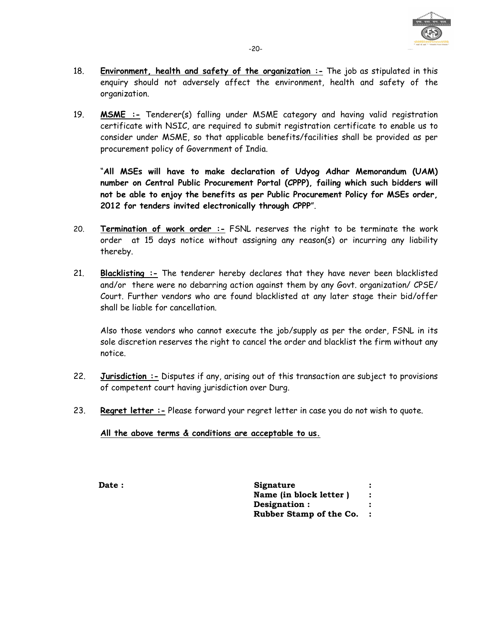

- 18. **Environment, health and safety of the organization :-** The job as stipulated in this enquiry should not adversely affect the environment, health and safety of the organization.
- 19. **MSME :-** Tenderer(s) falling under MSME category and having valid registration certificate with NSIC, are required to submit registration certificate to enable us to consider under MSME, so that applicable benefits/facilities shall be provided as per procurement policy of Government of India.

"**All MSEs will have to make declaration of Udyog Adhar Memorandum (UAM) number on Central Public Procurement Portal (CPPP), failing which such bidders will not be able to enjoy the benefits as per Public Procurement Policy for MSEs order, 2012 for tenders invited electronically through CPPP**".

- 20. **Termination of work order :-** FSNL reserves the right to be terminate the work order at 15 days notice without assigning any reason(s) or incurring any liability thereby.
- 21. **Blacklisting :-** The tenderer hereby declares that they have never been blacklisted and/or there were no debarring action against them by any Govt. organization/ CPSE/ Court. Further vendors who are found blacklisted at any later stage their bid/offer shall be liable for cancellation.

Also those vendors who cannot execute the job/supply as per the order, FSNL in its sole discretion reserves the right to cancel the order and blacklist the firm without any notice.

- 22. **Jurisdiction :-** Disputes if any, arising out of this transaction are subject to provisions of competent court having jurisdiction over Durg.
- 23. **Regret letter :-** Please forward your regret letter in case you do not wish to quote.

**All the above terms & conditions are acceptable to us.**

**Date :** Signature **Name (in block letter ) : Designation : : Rubber Stamp of the Co. :**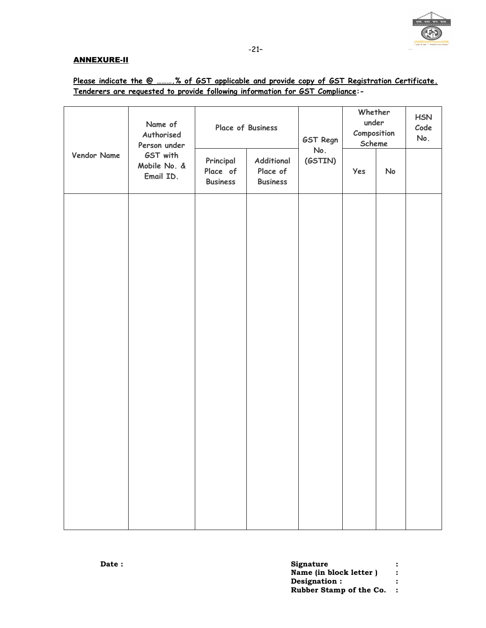

#### ANNEXURE-II

|  |                                                                               |  | Please indicate the @ % of GST applicable and provide copy of GST Registration Certificate. |
|--|-------------------------------------------------------------------------------|--|---------------------------------------------------------------------------------------------|
|  | Tenderers are requested to provide following information for GST Compliance:- |  |                                                                                             |

|             | Name of<br>Authorised<br>Person under<br>GST with<br>Mobile No. &<br>Email ID. | Place of Business                        |                                           | <b>GST Regn</b> | Whether<br>under<br>Composition<br>Scheme |    | <b>HSN</b><br>Code<br>No. |
|-------------|--------------------------------------------------------------------------------|------------------------------------------|-------------------------------------------|-----------------|-------------------------------------------|----|---------------------------|
| Vendor Name |                                                                                | Principal<br>Place of<br><b>Business</b> | Additional<br>Place of<br><b>Business</b> | No.<br>(GSTIN)  | Yes                                       | No |                           |
|             |                                                                                |                                          |                                           |                 |                                           |    |                           |
|             |                                                                                |                                          |                                           |                 |                                           |    |                           |
|             |                                                                                |                                          |                                           |                 |                                           |    |                           |
|             |                                                                                |                                          |                                           |                 |                                           |    |                           |
|             |                                                                                |                                          |                                           |                 |                                           |    |                           |
|             |                                                                                |                                          |                                           |                 |                                           |    |                           |
|             |                                                                                |                                          |                                           |                 |                                           |    |                           |
|             |                                                                                |                                          |                                           |                 |                                           |    |                           |

| <b>Date :</b> | Signature               |  |
|---------------|-------------------------|--|
|               | Name (in block letter)  |  |
|               | Designation :           |  |
|               | Rubber Stamp of the Co. |  |
|               |                         |  |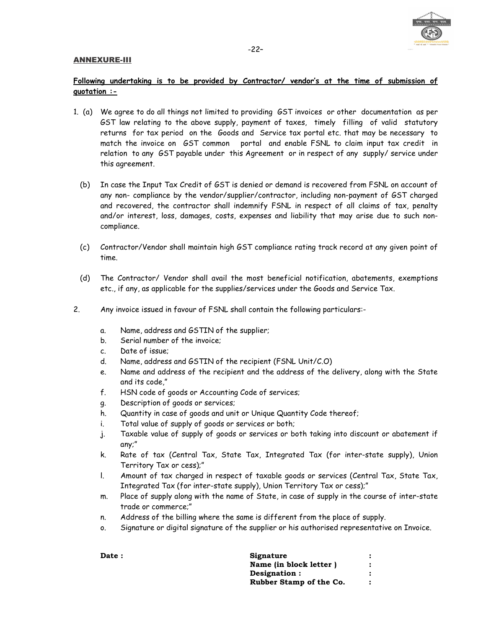#### ANNEXURE-III



#### -22–

#### **Following undertaking is to be provided by Contractor/ vendor's at the time of submission of quotation :-**

- 1. (a) We agree to do all things not limited to providing GST invoices or other documentation as per GST law relating to the above supply, payment of taxes, timely filling of valid statutory returns for tax period on the Goods and Service tax portal etc. that may be necessary to match the invoice on GST common portal and enable FSNL to claim input tax credit in relation to any GST payable under this Agreement or in respect of any supply/ service under this agreement.
	- (b) In case the Input Tax Credit of GST is denied or demand is recovered from FSNL on account of any non- compliance by the vendor/supplier/contractor, including non-payment of GST charged and recovered, the contractor shall indemnify FSNL in respect of all claims of tax, penalty and/or interest, loss, damages, costs, expenses and liability that may arise due to such noncompliance.
	- (c) Contractor/Vendor shall maintain high GST compliance rating track record at any given point of time.
	- (d) The Contractor/ Vendor shall avail the most beneficial notification, abatements, exemptions etc., if any, as applicable for the supplies/services under the Goods and Service Tax.
- 2. Any invoice issued in favour of FSNL shall contain the following particulars:
	- a. Name, address and GSTIN of the supplier;
	- b. Serial number of the invoice;
	- c. Date of issue;
	- d. Name, address and GSTIN of the recipient (FSNL Unit/C.O)
	- e. Name and address of the recipient and the address of the delivery, along with the State and its code,"
	- f. HSN code of goods or Accounting Code of services;
	- g. Description of goods or services;
	- h. Quantity in case of goods and unit or Unique Quantity Code thereof;
	- i. Total value of supply of goods or services or both;
	- j. Taxable value of supply of goods or services or both taking into discount or abatement if any;"
	- k. Rate of tax (Central Tax, State Tax, Integrated Tax (for inter-state supply), Union Territory Tax or cess);"
	- l. Amount of tax charged in respect of taxable goods or services (Central Tax, State Tax, Integrated Tax (for inter-state supply), Union Territory Tax or cess);"
	- m. Place of supply along with the name of State, in case of supply in the course of inter-state trade or commerce;"
	- n. Address of the billing where the same is different from the place of supply.
	- o. Signature or digital signature of the supplier or his authorised representative on Invoice.

| Signature               |  |
|-------------------------|--|
| Name (in block letter)  |  |
| Designation :           |  |
| Rubber Stamp of the Co. |  |
|                         |  |